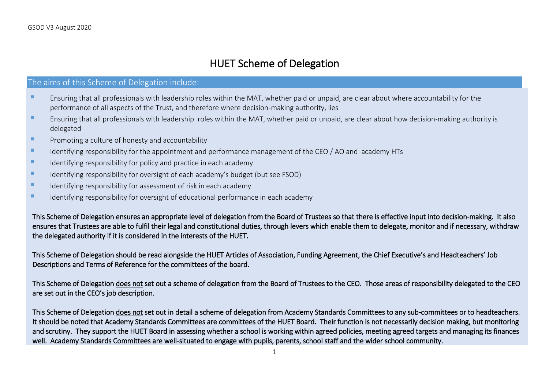## HUET Scheme of Delegation

## The aims of this Scheme of Delegation include:

- **EXTENDING INTERGATA I** Ensuring that all professionals with leadership roles within the MAT, whether paid or unpaid, are clear about where accountability for the performance of all aspects of the Trust, and therefore where decision-making authority, lies
- **EXT** Ensuring that all professionals with leadership roles within the MAT, whether paid or unpaid, are clear about how decision-making authority is delegated
- **E** Promoting a culture of honesty and accountability
- Identifying responsibility for the appointment and performance management of the CEO / AO and academy HTs
- Identifying responsibility for policy and practice in each academy
- Identifying responsibility for oversight of each academy's budget (but see FSOD)
- Identifying responsibility for assessment of risk in each academy
- Identifying responsibility for oversight of educational performance in each academy

This Scheme of Delegation ensures an appropriate level of delegation from the Board of Trustees so that there is effective input into decision-making. It also ensures that Trustees are able to fulfil their legal and constitutional duties, through levers which enable them to delegate, monitor and if necessary, withdraw the delegated authority if it is considered in the interests of the HUET.

This Scheme of Delegation should be read alongside the HUET Articles of Association, Funding Agreement, the Chief Executive's and Headteachers' Job Descriptions and Terms of Reference for the committees of the board.

This Scheme of Delegation does not set out a scheme of delegation from the Board of Trustees to the CEO. Those areas of responsibility delegated to the CEO are set out in the CEO's job description.

This Scheme of Delegation does not set out in detail a scheme of delegation from Academy Standards Committees to any sub-committees or to headteachers. It should be noted that Academy Standards Committees are committees of the HUET Board. Their function is not necessarily decision making, but monitoring and scrutiny. They support the HUET Board in assessing whether a school is working within agreed policies, meeting agreed targets and managing its finances well. Academy Standards Committees are well-situated to engage with pupils, parents, school staff and the wider school community.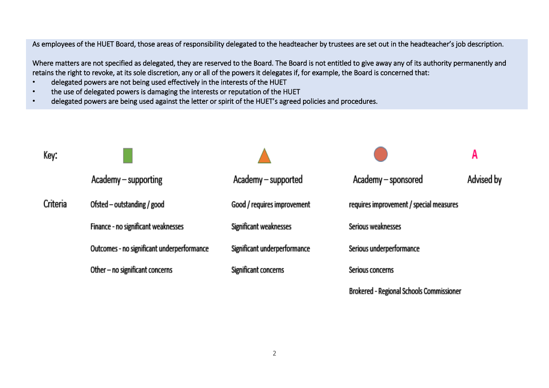As employees of the HUET Board, those areas of responsibility delegated to the headteacher by trustees are set out in the headteacher's job description.

Where matters are not specified as delegated, they are reserved to the Board. The Board is not entitled to give away any of its authority permanently and retains the right to revoke, at its sole discretion, any or all of the powers it delegates if, for example, the Board is concerned that:

- delegated powers are not being used effectively in the interests of the HUET
- the use of delegated powers is damaging the interests or reputation of the HUET
- delegated powers are being used against the letter or spirit of the HUET's agreed policies and procedures.

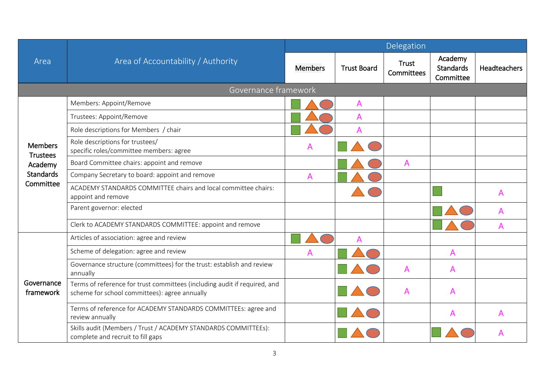|                                                                               | Area of Accountability / Authority                                                                                         |                |                    | Delegation          |                                          |                     |  |  |  |
|-------------------------------------------------------------------------------|----------------------------------------------------------------------------------------------------------------------------|----------------|--------------------|---------------------|------------------------------------------|---------------------|--|--|--|
| Area                                                                          |                                                                                                                            | <b>Members</b> | <b>Trust Board</b> | Trust<br>Committees | Academy<br><b>Standards</b><br>Committee | <b>Headteachers</b> |  |  |  |
|                                                                               | Governance framework                                                                                                       |                |                    |                     |                                          |                     |  |  |  |
| <b>Members</b><br><b>Trustees</b><br>Academy<br><b>Standards</b><br>Committee | Members: Appoint/Remove                                                                                                    |                | A                  |                     |                                          |                     |  |  |  |
|                                                                               | Trustees: Appoint/Remove                                                                                                   |                | A                  |                     |                                          |                     |  |  |  |
|                                                                               | Role descriptions for Members / chair                                                                                      |                | A                  |                     |                                          |                     |  |  |  |
|                                                                               | Role descriptions for trustees/<br>specific roles/committee members: agree                                                 | A              |                    |                     |                                          |                     |  |  |  |
|                                                                               | Board Committee chairs: appoint and remove                                                                                 |                |                    | A                   |                                          |                     |  |  |  |
|                                                                               | Company Secretary to board: appoint and remove                                                                             | A              |                    |                     |                                          |                     |  |  |  |
|                                                                               | ACADEMY STANDARDS COMMITTEE chairs and local committee chairs:<br>appoint and remove                                       |                |                    |                     |                                          | А                   |  |  |  |
|                                                                               | Parent governor: elected                                                                                                   |                |                    |                     |                                          | А                   |  |  |  |
|                                                                               | Clerk to ACADEMY STANDARDS COMMITTEE: appoint and remove                                                                   |                |                    |                     |                                          | А                   |  |  |  |
|                                                                               | Articles of association: agree and review                                                                                  |                | A                  |                     |                                          |                     |  |  |  |
|                                                                               | Scheme of delegation: agree and review                                                                                     | A              |                    |                     | A                                        |                     |  |  |  |
|                                                                               | Governance structure (committees) for the trust: establish and review<br>annually                                          |                |                    | A                   | A                                        |                     |  |  |  |
| Governance<br>framework                                                       | Terms of reference for trust committees (including audit if required, and<br>scheme for school committees): agree annually |                |                    | A                   | A                                        |                     |  |  |  |
|                                                                               | Terms of reference for ACADEMY STANDARDS COMMITTEEs: agree and<br>review annually                                          |                |                    |                     | A                                        |                     |  |  |  |
|                                                                               | Skills audit (Members / Trust / ACADEMY STANDARDS COMMITTEEs):<br>complete and recruit to fill gaps                        |                |                    |                     |                                          |                     |  |  |  |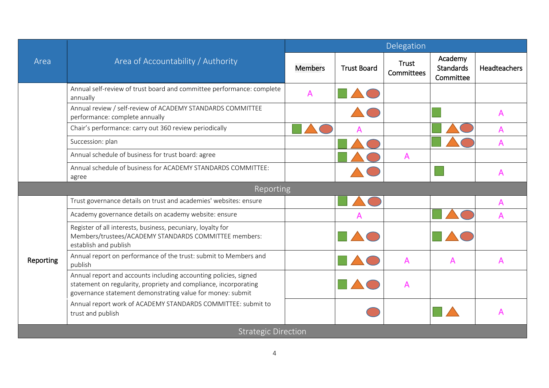|           | Area of Accountability / Authority                                                                                                                                                                 | Delegation     |                    |                     |                                          |              |  |
|-----------|----------------------------------------------------------------------------------------------------------------------------------------------------------------------------------------------------|----------------|--------------------|---------------------|------------------------------------------|--------------|--|
| Area      |                                                                                                                                                                                                    | <b>Members</b> | <b>Trust Board</b> | Trust<br>Committees | Academy<br><b>Standards</b><br>Committee | Headteachers |  |
|           | Annual self-review of trust board and committee performance: complete<br>annually                                                                                                                  | $\overline{A}$ |                    |                     |                                          |              |  |
|           | Annual review / self-review of ACADEMY STANDARDS COMMITTEE<br>performance: complete annually                                                                                                       |                |                    |                     |                                          | A            |  |
|           | Chair's performance: carry out 360 review periodically                                                                                                                                             |                |                    |                     |                                          | A            |  |
|           | Succession: plan                                                                                                                                                                                   |                |                    |                     |                                          |              |  |
|           | Annual schedule of business for trust board: agree                                                                                                                                                 |                |                    | A                   |                                          |              |  |
|           | Annual schedule of business for ACADEMY STANDARDS COMMITTEE:<br>agree                                                                                                                              |                |                    |                     |                                          | А            |  |
|           | Reporting                                                                                                                                                                                          |                |                    |                     |                                          |              |  |
|           | Trust governance details on trust and academies' websites: ensure                                                                                                                                  |                |                    |                     |                                          | A            |  |
|           | Academy governance details on academy website: ensure                                                                                                                                              |                | А                  |                     |                                          | A            |  |
|           | Register of all interests, business, pecuniary, loyalty for<br>Members/trustees/ACADEMY STANDARDS COMMITTEE members:<br>establish and publish                                                      |                |                    |                     |                                          |              |  |
| Reporting | Annual report on performance of the trust: submit to Members and<br>publish                                                                                                                        |                |                    | A                   | A                                        | A            |  |
|           | Annual report and accounts including accounting policies, signed<br>statement on regularity, propriety and compliance, incorporating<br>governance statement demonstrating value for money: submit |                |                    | A                   |                                          |              |  |
|           | Annual report work of ACADEMY STANDARDS COMMITTEE: submit to<br>trust and publish                                                                                                                  |                |                    |                     |                                          |              |  |
|           | <b>Strategic Direction</b>                                                                                                                                                                         |                |                    |                     |                                          |              |  |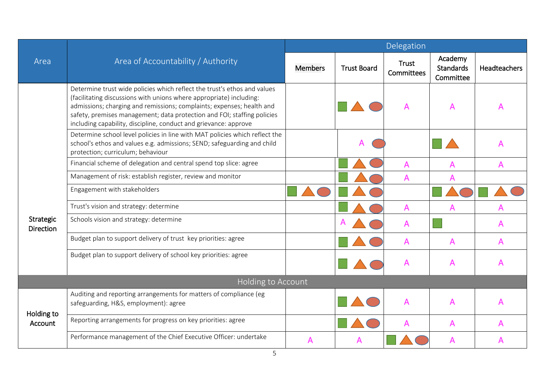|                               | Area of Accountability / Authority                                                                                                                                                                                                                                                                                                                                      | <b>Delegation</b> |                    |                     |                                          |                     |  |
|-------------------------------|-------------------------------------------------------------------------------------------------------------------------------------------------------------------------------------------------------------------------------------------------------------------------------------------------------------------------------------------------------------------------|-------------------|--------------------|---------------------|------------------------------------------|---------------------|--|
| Area                          |                                                                                                                                                                                                                                                                                                                                                                         | <b>Members</b>    | <b>Trust Board</b> | Trust<br>Committees | Academy<br><b>Standards</b><br>Committee | <b>Headteachers</b> |  |
|                               | Determine trust wide policies which reflect the trust's ethos and values<br>(facilitating discussions with unions where appropriate) including:<br>admissions; charging and remissions; complaints; expenses; health and<br>safety, premises management; data protection and FOI; staffing policies<br>including capability, discipline, conduct and grievance: approve |                   |                    |                     | $\mathsf{A}$                             | A                   |  |
|                               | Determine school level policies in line with MAT policies which reflect the<br>school's ethos and values e.g. admissions; SEND; safeguarding and child<br>protection; curriculum; behaviour                                                                                                                                                                             |                   |                    |                     |                                          |                     |  |
|                               | Financial scheme of delegation and central spend top slice: agree                                                                                                                                                                                                                                                                                                       |                   |                    | $\mathsf{A}$        | A                                        | A                   |  |
|                               | Management of risk: establish register, review and monitor                                                                                                                                                                                                                                                                                                              |                   |                    | A                   | A                                        |                     |  |
|                               | Engagement with stakeholders                                                                                                                                                                                                                                                                                                                                            |                   |                    |                     |                                          |                     |  |
|                               | Trust's vision and strategy: determine                                                                                                                                                                                                                                                                                                                                  |                   |                    | A                   | A                                        |                     |  |
| Strategic<br><b>Direction</b> | Schools vision and strategy: determine                                                                                                                                                                                                                                                                                                                                  |                   |                    | A                   |                                          | A                   |  |
|                               | Budget plan to support delivery of trust key priorities: agree                                                                                                                                                                                                                                                                                                          |                   |                    | A                   | A                                        | A                   |  |
|                               | Budget plan to support delivery of school key priorities: agree                                                                                                                                                                                                                                                                                                         |                   |                    | A                   | A                                        | A                   |  |
|                               | <b>Holding to Account</b>                                                                                                                                                                                                                                                                                                                                               |                   |                    |                     |                                          |                     |  |
| Holding to<br>Account         | Auditing and reporting arrangements for matters of compliance (eg<br>safeguarding, H&S, employment): agree                                                                                                                                                                                                                                                              |                   |                    | A                   | $\mathsf{A}$                             | Α                   |  |
|                               | Reporting arrangements for progress on key priorities: agree                                                                                                                                                                                                                                                                                                            |                   |                    |                     | A                                        | A                   |  |
|                               | Performance management of the Chief Executive Officer: undertake                                                                                                                                                                                                                                                                                                        | А                 |                    |                     | Α                                        |                     |  |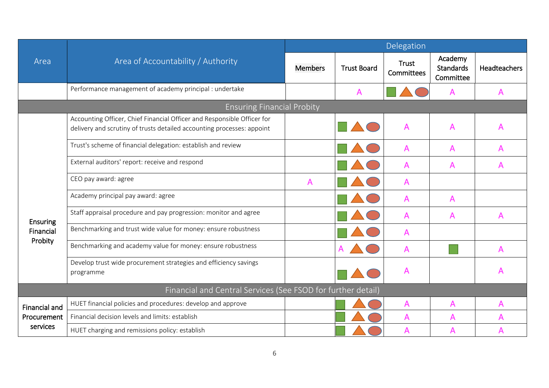|                      | Area of Accountability / Authority                                                                                                                |                |                    | Delegation                 |                                          |              |
|----------------------|---------------------------------------------------------------------------------------------------------------------------------------------------|----------------|--------------------|----------------------------|------------------------------------------|--------------|
| Area                 |                                                                                                                                                   | <b>Members</b> | <b>Trust Board</b> | <b>Trust</b><br>Committees | Academy<br><b>Standards</b><br>Committee | Headteachers |
|                      | Performance management of academy principal : undertake                                                                                           |                | A                  |                            | A                                        | A            |
|                      | <b>Ensuring Financial Probity</b>                                                                                                                 |                |                    |                            |                                          |              |
|                      | Accounting Officer, Chief Financial Officer and Responsible Officer for<br>delivery and scrutiny of trusts detailed accounting processes: appoint |                |                    | A                          | A                                        | A            |
|                      | Trust's scheme of financial delegation: establish and review                                                                                      |                |                    | Α                          | A                                        | A            |
|                      | External auditors' report: receive and respond                                                                                                    |                |                    | A                          | A                                        | A            |
|                      | CEO pay award: agree                                                                                                                              | A              |                    | A                          |                                          |              |
|                      | Academy principal pay award: agree                                                                                                                |                |                    | A                          | A                                        |              |
| Ensuring             | Staff appraisal procedure and pay progression: monitor and agree                                                                                  |                |                    | A                          | A                                        | A            |
| Financial            | Benchmarking and trust wide value for money: ensure robustness                                                                                    |                |                    | A                          |                                          |              |
| Probity              | Benchmarking and academy value for money: ensure robustness                                                                                       |                |                    | A                          |                                          | A            |
|                      | Develop trust wide procurement strategies and efficiency savings<br>programme                                                                     |                |                    | А                          |                                          |              |
|                      | Financial and Central Services (See FSOD for further detail)                                                                                      |                |                    |                            |                                          |              |
| <b>Financial and</b> | HUET financial policies and procedures: develop and approve                                                                                       |                |                    | A                          | A                                        | A            |
| Procurement          | Financial decision levels and limits: establish                                                                                                   |                |                    | A                          | A                                        | А            |
| services             | HUET charging and remissions policy: establish                                                                                                    |                |                    | A                          |                                          |              |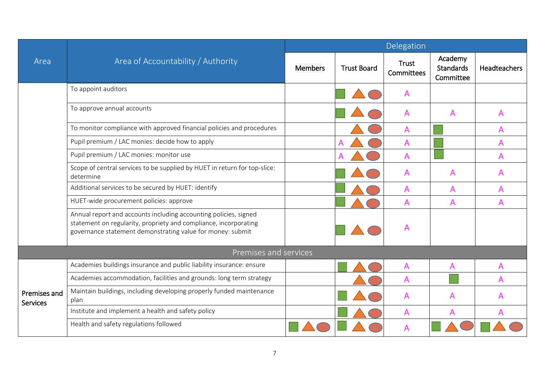|                                 | Area of Accountability / Authority                                                                                                                                                                 | Delegation     |                    |                     |                                          |                     |  |
|---------------------------------|----------------------------------------------------------------------------------------------------------------------------------------------------------------------------------------------------|----------------|--------------------|---------------------|------------------------------------------|---------------------|--|
| Area                            |                                                                                                                                                                                                    | <b>Members</b> | <b>Trust Board</b> | Trust<br>Committees | Academy<br><b>Standards</b><br>Committee | <b>Headteachers</b> |  |
|                                 | To appoint auditors                                                                                                                                                                                |                |                    | A                   |                                          |                     |  |
|                                 | To approve annual accounts                                                                                                                                                                         |                |                    | A                   | A                                        | A                   |  |
|                                 | To monitor compliance with approved financial policies and procedures                                                                                                                              |                |                    | A                   |                                          | A                   |  |
|                                 | Pupil premium / LAC monies: decide how to apply                                                                                                                                                    |                |                    | A                   |                                          | A                   |  |
|                                 | Pupil premium / LAC monies: monitor use                                                                                                                                                            |                |                    | A                   |                                          | A                   |  |
|                                 | Scope of central services to be supplied by HUET in return for top-slice:<br>determine                                                                                                             |                |                    | A                   | A                                        | A                   |  |
|                                 | Additional services to be secured by HUET: identify                                                                                                                                                |                |                    | А                   | A                                        | A                   |  |
|                                 | HUET-wide procurement policies: approve                                                                                                                                                            |                |                    | A                   | A                                        | A                   |  |
|                                 | Annual report and accounts including accounting policies, signed<br>statement on regularity, propriety and compliance, incorporating<br>governance statement demonstrating value for money: submit |                |                    |                     |                                          |                     |  |
|                                 | Premises and services                                                                                                                                                                              |                |                    |                     |                                          |                     |  |
|                                 | Academies buildings insurance and public liability insurance: ensure                                                                                                                               |                |                    | A                   | A                                        |                     |  |
|                                 | Academies accommodation, facilities and grounds: long term strategy                                                                                                                                |                |                    | A                   |                                          | A                   |  |
| Premises and<br><b>Services</b> | Maintain buildings, including developing properly funded maintenance<br>plan                                                                                                                       |                |                    | A                   | A                                        |                     |  |
|                                 | Institute and implement a health and safety policy                                                                                                                                                 |                |                    | A                   | A                                        |                     |  |
|                                 | Health and safety regulations followed                                                                                                                                                             |                |                    | A                   |                                          |                     |  |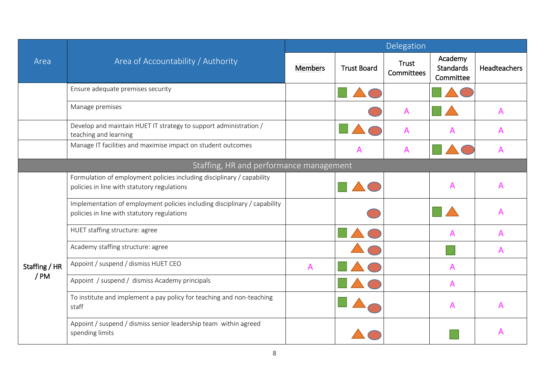|                                         | Area of Accountability / Authority                                                                                       | Delegation     |                    |                     |                                   |                     |  |  |
|-----------------------------------------|--------------------------------------------------------------------------------------------------------------------------|----------------|--------------------|---------------------|-----------------------------------|---------------------|--|--|
| Area                                    |                                                                                                                          | <b>Members</b> | <b>Trust Board</b> | Trust<br>Committees | Academy<br>Standards<br>Committee | <b>Headteachers</b> |  |  |
|                                         | Ensure adequate premises security                                                                                        |                |                    |                     |                                   |                     |  |  |
|                                         | Manage premises                                                                                                          |                |                    | A                   |                                   | A                   |  |  |
|                                         | Develop and maintain HUET IT strategy to support administration /<br>teaching and learning                               |                |                    | A                   | A                                 | A                   |  |  |
|                                         | Manage IT facilities and maximise impact on student outcomes                                                             |                |                    |                     |                                   |                     |  |  |
| Staffing, HR and performance management |                                                                                                                          |                |                    |                     |                                   |                     |  |  |
|                                         | Formulation of employment policies including disciplinary / capability<br>policies in line with statutory regulations    |                |                    |                     | A                                 | A                   |  |  |
|                                         | Implementation of employment policies including disciplinary / capability<br>policies in line with statutory regulations |                |                    |                     |                                   |                     |  |  |
|                                         | HUET staffing structure: agree                                                                                           |                |                    |                     | A                                 |                     |  |  |
|                                         | Academy staffing structure: agree                                                                                        |                |                    |                     |                                   | A                   |  |  |
| Staffing / HR<br>/PM                    | Appoint / suspend / dismiss HUET CEO                                                                                     | A              |                    |                     | A                                 |                     |  |  |
|                                         | Appoint / suspend / dismiss Academy principals                                                                           |                |                    |                     | A                                 |                     |  |  |
|                                         | To institute and implement a pay policy for teaching and non-teaching<br>staff                                           |                |                    |                     | A                                 |                     |  |  |
|                                         | Appoint / suspend / dismiss senior leadership team within agreed<br>spending limits                                      |                |                    |                     |                                   |                     |  |  |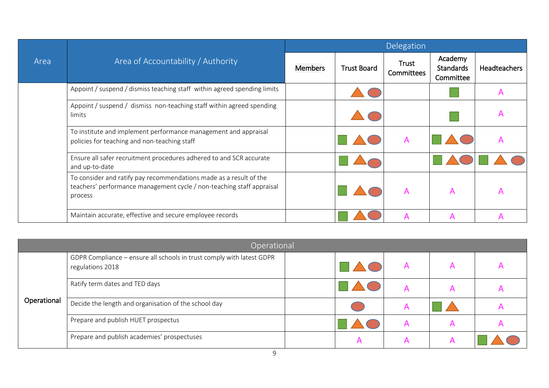|      | Area of Accountability / Authority                                                                                                                     | Delegation     |                    |                     |                                          |              |  |
|------|--------------------------------------------------------------------------------------------------------------------------------------------------------|----------------|--------------------|---------------------|------------------------------------------|--------------|--|
| Area |                                                                                                                                                        | <b>Members</b> | <b>Trust Board</b> | Trust<br>Committees | Academy<br><b>Standards</b><br>Committee | Headteachers |  |
|      | Appoint / suspend / dismiss teaching staff within agreed spending limits                                                                               |                |                    |                     |                                          | Α            |  |
|      | Appoint / suspend / dismiss non-teaching staff within agreed spending<br>limits                                                                        |                |                    |                     |                                          | A            |  |
|      | To institute and implement performance management and appraisal<br>policies for teaching and non-teaching staff                                        |                |                    |                     |                                          |              |  |
|      | Ensure all safer recruitment procedures adhered to and SCR accurate<br>and up-to-date                                                                  |                |                    |                     |                                          |              |  |
|      | To consider and ratify pay recommendations made as a result of the<br>teachers' performance management cycle / non-teaching staff appraisal<br>process |                |                    | A                   | A                                        | А            |  |
|      | Maintain accurate, effective and secure employee records                                                                                               |                |                    |                     | А                                        |              |  |

| Operational |                                                                                           |  |  |  |  |  |  |
|-------------|-------------------------------------------------------------------------------------------|--|--|--|--|--|--|
| Operational | GDPR Compliance - ensure all schools in trust comply with latest GDPR<br>regulations 2018 |  |  |  |  |  |  |
|             | Ratify term dates and TED days                                                            |  |  |  |  |  |  |
|             | Decide the length and organisation of the school day                                      |  |  |  |  |  |  |
|             | Prepare and publish HUET prospectus                                                       |  |  |  |  |  |  |
|             | Prepare and publish academies' prospectuses                                               |  |  |  |  |  |  |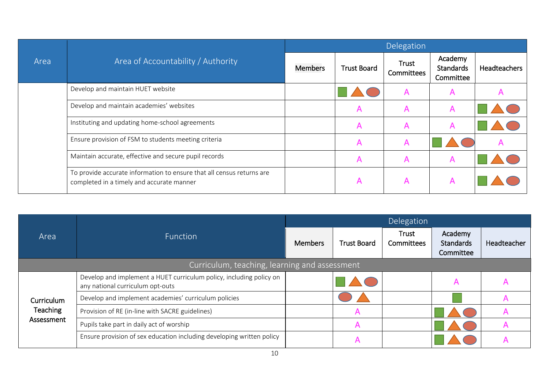| Area | Area of Accountability / Authority                                                                                 | Delegation     |                    |                     |                                   |                     |  |
|------|--------------------------------------------------------------------------------------------------------------------|----------------|--------------------|---------------------|-----------------------------------|---------------------|--|
|      |                                                                                                                    | <b>Members</b> | <b>Trust Board</b> | Trust<br>Committees | Academy<br>Standards<br>Committee | <b>Headteachers</b> |  |
|      | Develop and maintain HUET website                                                                                  |                |                    | A                   | A                                 |                     |  |
|      | Develop and maintain academies' websites                                                                           |                | $\mathsf{A}$       | A                   | A                                 |                     |  |
|      | Instituting and updating home-school agreements                                                                    |                | A                  |                     | А                                 |                     |  |
|      | Ensure provision of FSM to students meeting criteria                                                               |                | A                  | A                   |                                   |                     |  |
|      | Maintain accurate, effective and secure pupil records                                                              |                | A                  | A                   | A                                 |                     |  |
|      | To provide accurate information to ensure that all census returns are<br>completed in a timely and accurate manner |                | $\mathsf{A}$       |                     | A                                 |                     |  |

|            | <b>Function</b>                                                                                         | Delegation     |                    |                     |                                          |             |  |  |
|------------|---------------------------------------------------------------------------------------------------------|----------------|--------------------|---------------------|------------------------------------------|-------------|--|--|
| Area       |                                                                                                         | <b>Members</b> | <b>Trust Board</b> | Trust<br>Committees | Academy<br><b>Standards</b><br>Committee | Headteacher |  |  |
|            | Curriculum, teaching, learning and assessment                                                           |                |                    |                     |                                          |             |  |  |
|            | Develop and implement a HUET curriculum policy, including policy on<br>any national curriculum opt-outs |                |                    |                     |                                          |             |  |  |
| Curriculum | Develop and implement academies' curriculum policies                                                    |                |                    |                     |                                          |             |  |  |
| Teaching   | Provision of RE (in-line with SACRE guidelines)                                                         |                |                    |                     |                                          |             |  |  |
| Assessment | Pupils take part in daily act of worship                                                                |                |                    |                     |                                          |             |  |  |
|            | Ensure provision of sex education including developing written policy                                   |                |                    |                     |                                          |             |  |  |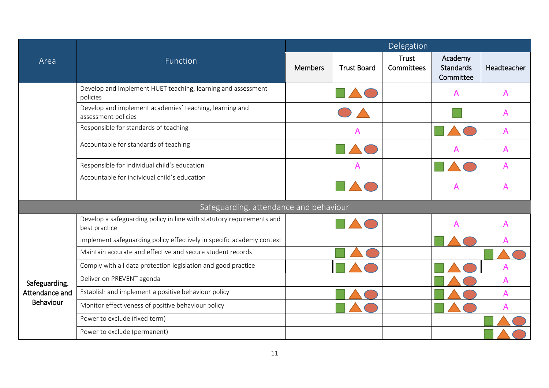|                                    | Function                                                                               | Delegation     |                    |                            |                                   |             |  |  |
|------------------------------------|----------------------------------------------------------------------------------------|----------------|--------------------|----------------------------|-----------------------------------|-------------|--|--|
| Area                               |                                                                                        | <b>Members</b> | <b>Trust Board</b> | <b>Trust</b><br>Committees | Academy<br>Standards<br>Committee | Headteacher |  |  |
|                                    | Develop and implement HUET teaching, learning and assessment<br>policies               |                |                    |                            | Α                                 |             |  |  |
|                                    | Develop and implement academies' teaching, learning and<br>assessment policies         |                |                    |                            |                                   |             |  |  |
|                                    | Responsible for standards of teaching                                                  |                |                    |                            |                                   |             |  |  |
|                                    | Accountable for standards of teaching                                                  |                |                    |                            |                                   |             |  |  |
|                                    | Responsible for individual child's education                                           |                |                    |                            |                                   |             |  |  |
|                                    | Accountable for individual child's education                                           |                |                    |                            | A                                 |             |  |  |
|                                    | Safeguarding, attendance and behaviour                                                 |                |                    |                            |                                   |             |  |  |
|                                    | Develop a safeguarding policy in line with statutory requirements and<br>best practice |                |                    |                            | A                                 |             |  |  |
|                                    | Implement safeguarding policy effectively in specific academy context                  |                |                    |                            |                                   |             |  |  |
|                                    | Maintain accurate and effective and secure student records                             |                |                    |                            |                                   |             |  |  |
|                                    | Comply with all data protection legislation and good practice                          |                |                    |                            |                                   |             |  |  |
| Safeguarding.                      | Deliver on PREVENT agenda                                                              |                |                    |                            |                                   | A           |  |  |
| Attendance and<br><b>Behaviour</b> | Establish and implement a positive behaviour policy                                    |                |                    |                            |                                   | А           |  |  |
|                                    | Monitor effectiveness of positive behaviour policy                                     |                |                    |                            |                                   |             |  |  |
|                                    | Power to exclude (fixed term)                                                          |                |                    |                            |                                   |             |  |  |
|                                    | Power to exclude (permanent)                                                           |                |                    |                            |                                   |             |  |  |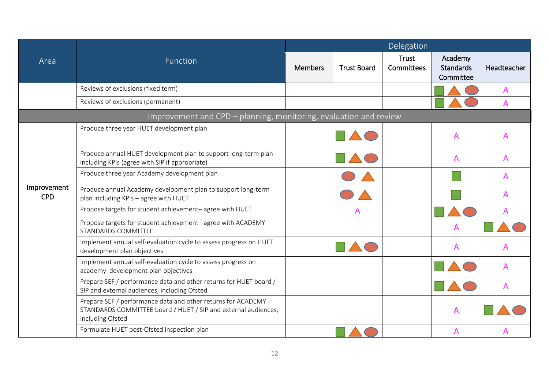|                           | Function                                                                                                                                           |                |                    | Delegation                 |                                          |             |
|---------------------------|----------------------------------------------------------------------------------------------------------------------------------------------------|----------------|--------------------|----------------------------|------------------------------------------|-------------|
| Area                      |                                                                                                                                                    | <b>Members</b> | <b>Trust Board</b> | <b>Trust</b><br>Committees | Academy<br><b>Standards</b><br>Committee | Headteacher |
|                           | Reviews of exclusions (fixed term)                                                                                                                 |                |                    |                            |                                          | A           |
|                           | Reviews of exclusions (permanent)                                                                                                                  |                |                    |                            |                                          | A           |
|                           | Improvement and CPD - planning, monitoring, evaluation and review                                                                                  |                |                    |                            |                                          |             |
|                           | Produce three year HUET development plan                                                                                                           |                |                    |                            | A                                        | А           |
|                           | Produce annual HUET development plan to support long-term plan<br>including KPIs (agree with SIP if appropriate)                                   |                |                    |                            | A                                        |             |
|                           | Produce three year Academy development plan                                                                                                        |                |                    |                            |                                          | А           |
| Improvement<br><b>CPD</b> | Produce annual Academy development plan to support long-term<br>plan including KPIs - agree with HUET                                              |                |                    |                            |                                          |             |
|                           | Propose targets for student achievement-agree with HUET                                                                                            |                |                    |                            |                                          |             |
|                           | Propose targets for student achievement-agree with ACADEMY<br>STANDARDS COMMITTEE                                                                  |                |                    |                            | A                                        |             |
|                           | Implement annual self-evaluation cycle to assess progress on HUET<br>development plan objectives                                                   |                |                    |                            | A                                        |             |
|                           | Implement annual self-evaluation cycle to assess progress on<br>academy development plan objectives                                                |                |                    |                            |                                          |             |
|                           | Prepare SEF / performance data and other returns for HUET board /<br>SIP and external audiences, including Ofsted                                  |                |                    |                            |                                          |             |
|                           | Prepare SEF / performance data and other returns for ACADEMY<br>STANDARDS COMMITTEE board / HUET / SIP and external audiences,<br>including Ofsted |                |                    |                            | A                                        |             |
|                           | Formulate HUET post-Ofsted inspection plan                                                                                                         |                |                    |                            | A                                        |             |